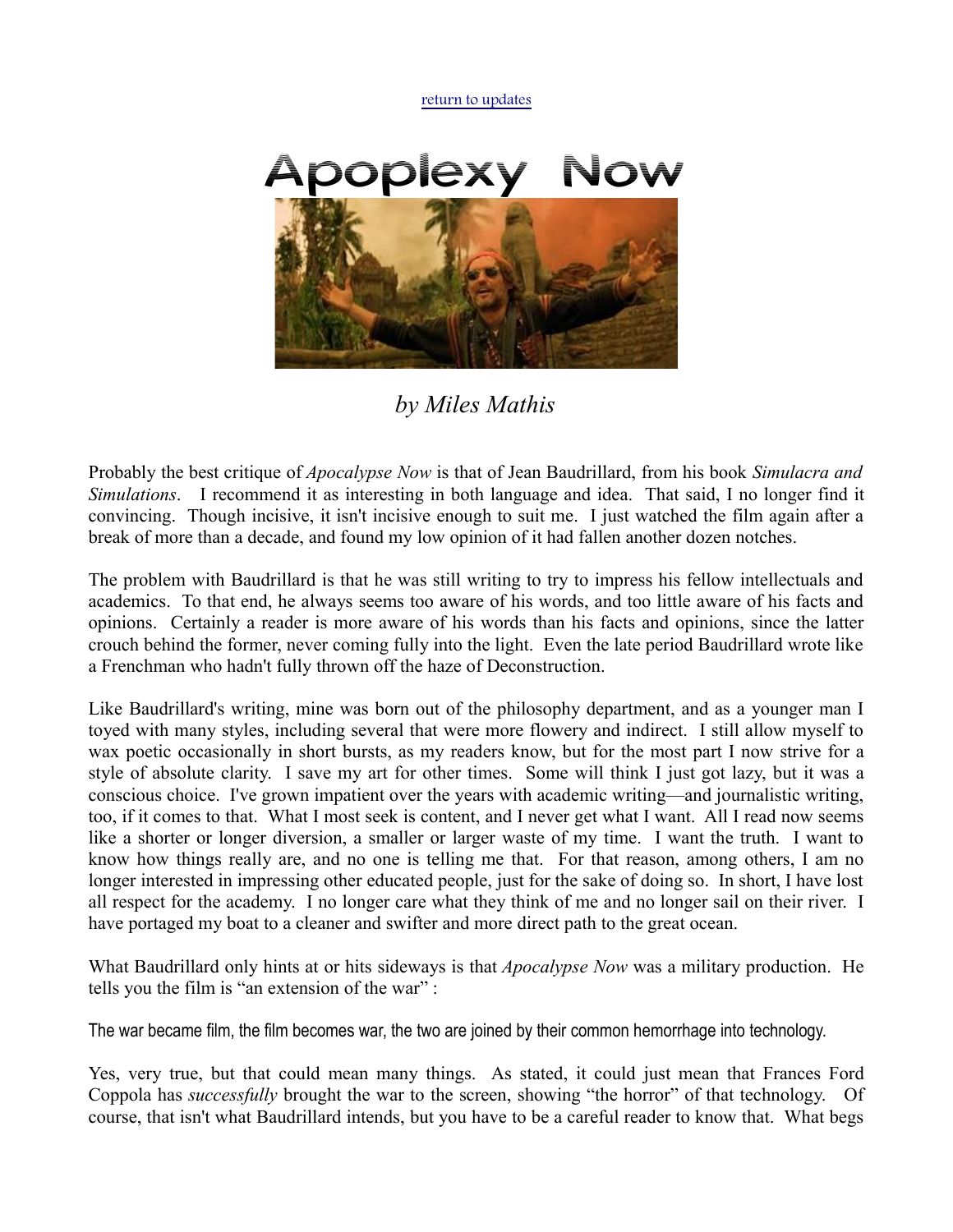[return to updates](http://mileswmathis.com/updates.html)



## *by Miles Mathis*

Probably the best critique of *Apocalypse Now* is that of Jean Baudrillard, from his book *Simulacra and Simulations*. I recommend it as interesting in both language and idea. That said, I no longer find it convincing. Though incisive, it isn't incisive enough to suit me. I just watched the film again after a break of more than a decade, and found my low opinion of it had fallen another dozen notches.

The problem with Baudrillard is that he was still writing to try to impress his fellow intellectuals and academics. To that end, he always seems too aware of his words, and too little aware of his facts and opinions. Certainly a reader is more aware of his words than his facts and opinions, since the latter crouch behind the former, never coming fully into the light. Even the late period Baudrillard wrote like a Frenchman who hadn't fully thrown off the haze of Deconstruction.

Like Baudrillard's writing, mine was born out of the philosophy department, and as a younger man I toyed with many styles, including several that were more flowery and indirect. I still allow myself to wax poetic occasionally in short bursts, as my readers know, but for the most part I now strive for a style of absolute clarity. I save my art for other times. Some will think I just got lazy, but it was a conscious choice. I've grown impatient over the years with academic writing—and journalistic writing, too, if it comes to that. What I most seek is content, and I never get what I want. All I read now seems like a shorter or longer diversion, a smaller or larger waste of my time. I want the truth. I want to know how things really are, and no one is telling me that. For that reason, among others, I am no longer interested in impressing other educated people, just for the sake of doing so. In short, I have lost all respect for the academy. I no longer care what they think of me and no longer sail on their river. I have portaged my boat to a cleaner and swifter and more direct path to the great ocean.

What Baudrillard only hints at or hits sideways is that *Apocalypse Now* was a military production. He tells you the film is "an extension of the war" :

The war became film, the film becomes war, the two are joined by their common hemorrhage into technology.

Yes, very true, but that could mean many things. As stated, it could just mean that Frances Ford Coppola has *successfully* brought the war to the screen, showing "the horror" of that technology. Of course, that isn't what Baudrillard intends, but you have to be a careful reader to know that. What begs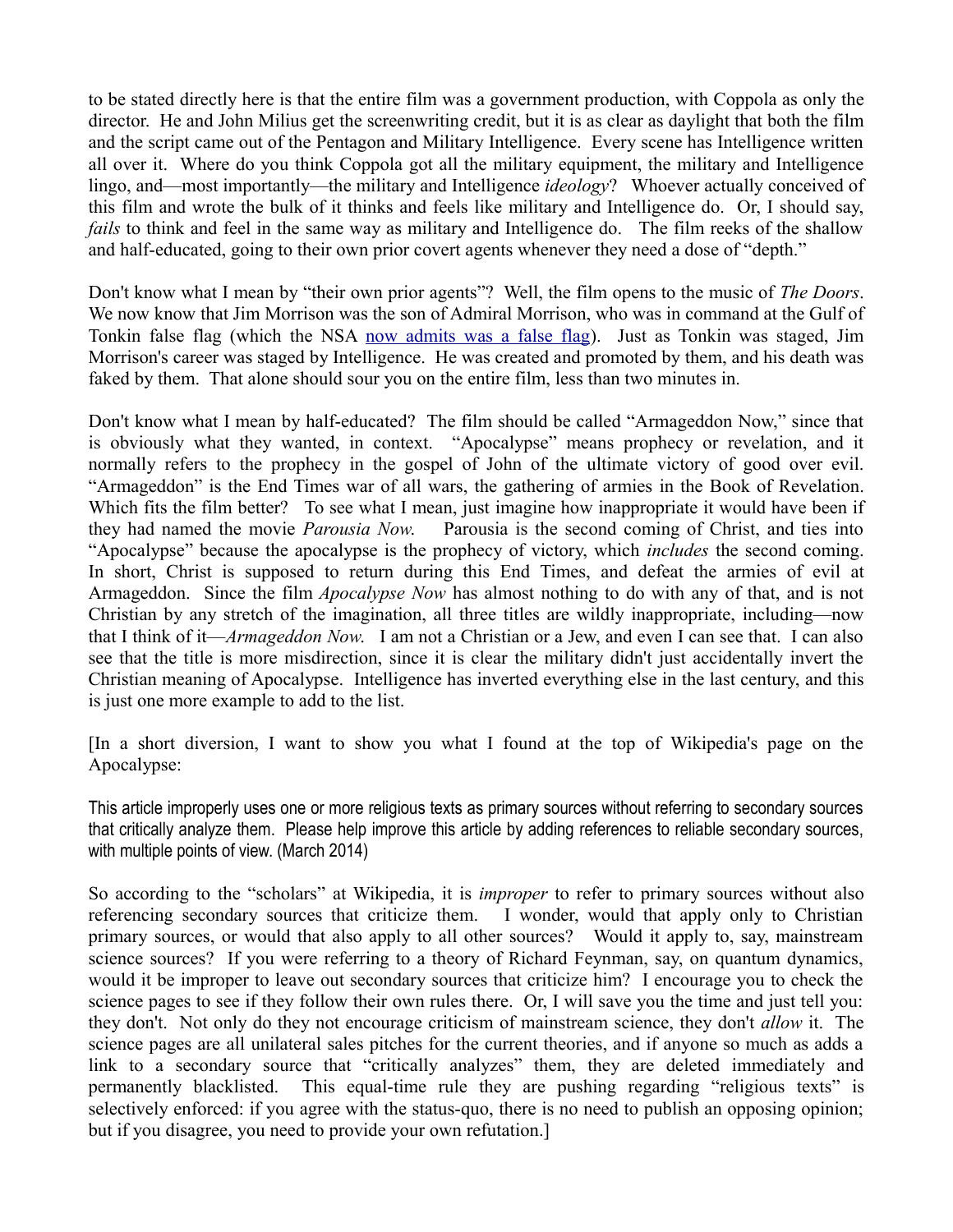to be stated directly here is that the entire film was a government production, with Coppola as only the director. He and John Milius get the screenwriting credit, but it is as clear as daylight that both the film and the script came out of the Pentagon and Military Intelligence. Every scene has Intelligence written all over it. Where do you think Coppola got all the military equipment, the military and Intelligence lingo, and—most importantly—the military and Intelligence *ideology*? Whoever actually conceived of this film and wrote the bulk of it thinks and feels like military and Intelligence do. Or, I should say, *fails* to think and feel in the same way as military and Intelligence do. The film reeks of the shallow and half-educated, going to their own prior covert agents whenever they need a dose of "depth."

Don't know what I mean by "their own prior agents"? Well, the film opens to the music of *The Doors*. We now know that Jim Morrison was the son of Admiral Morrison, who was in command at the Gulf of Tonkin false flag (which the NSA [now admits was a false flag\)](http://en.wikipedia.org/wiki/Gulf_of_Tonkin_incident). Just as Tonkin was staged, Jim Morrison's career was staged by Intelligence. He was created and promoted by them, and his death was faked by them. That alone should sour you on the entire film, less than two minutes in.

Don't know what I mean by half-educated? The film should be called "Armageddon Now," since that is obviously what they wanted, in context. "Apocalypse" means prophecy or revelation, and it normally refers to the prophecy in the gospel of John of the ultimate victory of good over evil. "Armageddon" is the End Times war of all wars, the gathering of armies in the Book of Revelation. Which fits the film better? To see what I mean, just imagine how inappropriate it would have been if they had named the movie *Parousia Now*. Parousia is the second coming of Christ, and ties into "Apocalypse" because the apocalypse is the prophecy of victory, which *includes* the second coming. In short, Christ is supposed to return during this End Times, and defeat the armies of evil at Armageddon. Since the film *Apocalypse Now* has almost nothing to do with any of that, and is not Christian by any stretch of the imagination, all three titles are wildly inappropriate, including—now that I think of it—*Armageddon Now*. I am not a Christian or a Jew, and even I can see that. I can also see that the title is more misdirection, since it is clear the military didn't just accidentally invert the Christian meaning of Apocalypse. Intelligence has inverted everything else in the last century, and this is just one more example to add to the list.

[In a short diversion, I want to show you what I found at the top of Wikipedia's page on the Apocalypse:

This article improperly uses one or more religious texts as primary sources without referring to secondary sources that critically analyze them. Please help improve this article by adding references to reliable secondary sources, with multiple points of view. (March 2014)

So according to the "scholars" at Wikipedia, it is *improper* to refer to primary sources without also referencing secondary sources that criticize them. I wonder, would that apply only to Christian primary sources, or would that also apply to all other sources? Would it apply to, say, mainstream science sources? If you were referring to a theory of Richard Feynman, say, on quantum dynamics, would it be improper to leave out secondary sources that criticize him? I encourage you to check the science pages to see if they follow their own rules there. Or, I will save you the time and just tell you: they don't. Not only do they not encourage criticism of mainstream science, they don't *allow* it. The science pages are all unilateral sales pitches for the current theories, and if anyone so much as adds a link to a secondary source that "critically analyzes" them, they are deleted immediately and permanently blacklisted. This equal-time rule they are pushing regarding "religious texts" is selectively enforced: if you agree with the status-quo, there is no need to publish an opposing opinion; but if you disagree, you need to provide your own refutation.]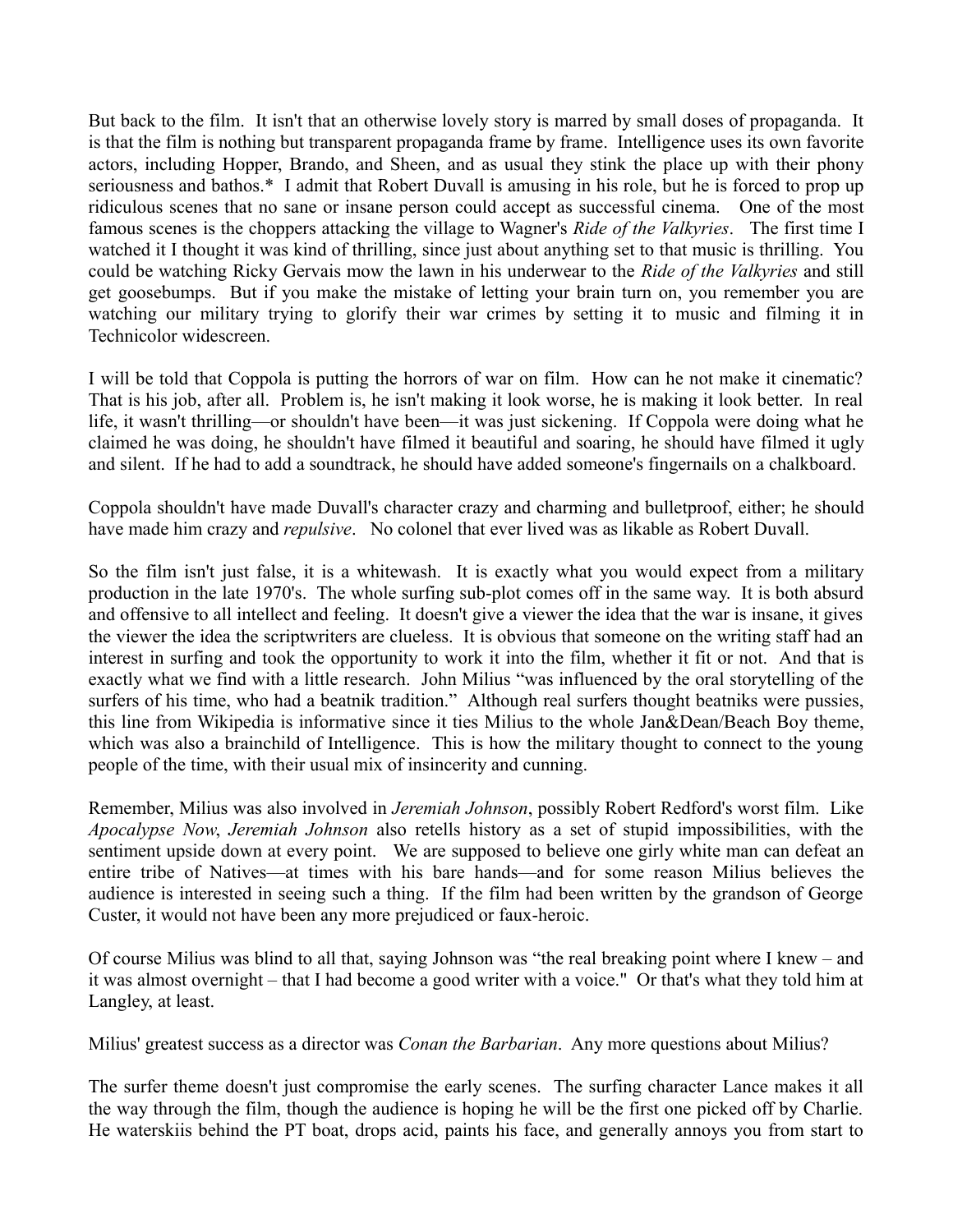But back to the film. It isn't that an otherwise lovely story is marred by small doses of propaganda. It is that the film is nothing but transparent propaganda frame by frame. Intelligence uses its own favorite actors, including Hopper, Brando, and Sheen, and as usual they stink the place up with their phony seriousness and bathos.\* I admit that Robert Duvall is amusing in his role, but he is forced to prop up ridiculous scenes that no sane or insane person could accept as successful cinema. One of the most famous scenes is the choppers attacking the village to Wagner's *Ride of the Valkyries*. The first time I watched it I thought it was kind of thrilling, since just about anything set to that music is thrilling. You could be watching Ricky Gervais mow the lawn in his underwear to the *Ride of the Valkyries* and still get goosebumps. But if you make the mistake of letting your brain turn on, you remember you are watching our military trying to glorify their war crimes by setting it to music and filming it in Technicolor widescreen.

I will be told that Coppola is putting the horrors of war on film. How can he not make it cinematic? That is his job, after all. Problem is, he isn't making it look worse, he is making it look better. In real life, it wasn't thrilling—or shouldn't have been—it was just sickening. If Coppola were doing what he claimed he was doing, he shouldn't have filmed it beautiful and soaring, he should have filmed it ugly and silent. If he had to add a soundtrack, he should have added someone's fingernails on a chalkboard.

Coppola shouldn't have made Duvall's character crazy and charming and bulletproof, either; he should have made him crazy and *repulsive*. No colonel that ever lived was as likable as Robert Duvall.

So the film isn't just false, it is a whitewash. It is exactly what you would expect from a military production in the late 1970's. The whole surfing sub-plot comes off in the same way. It is both absurd and offensive to all intellect and feeling. It doesn't give a viewer the idea that the war is insane, it gives the viewer the idea the scriptwriters are clueless. It is obvious that someone on the writing staff had an interest in surfing and took the opportunity to work it into the film, whether it fit or not. And that is exactly what we find with a little research. John Milius "was influenced by the oral storytelling of the surfers of his time, who had a beatnik tradition." Although real surfers thought beatniks were pussies, this line from Wikipedia is informative since it ties Milius to the whole Jan&Dean/Beach Boy theme, which was also a brainchild of Intelligence. This is how the military thought to connect to the young people of the time, with their usual mix of insincerity and cunning.

Remember, Milius was also involved in *Jeremiah Johnson*, possibly Robert Redford's worst film. Like *Apocalypse Now*, *Jeremiah Johnson* also retells history as a set of stupid impossibilities, with the sentiment upside down at every point. We are supposed to believe one girly white man can defeat an entire tribe of Natives—at times with his bare hands—and for some reason Milius believes the audience is interested in seeing such a thing. If the film had been written by the grandson of George Custer, it would not have been any more prejudiced or faux-heroic.

Of course Milius was blind to all that, saying Johnson was "the real breaking point where I knew – and it was almost overnight – that I had become a good writer with a voice." Or that's what they told him at Langley, at least.

Milius' greatest success as a director was *Conan the Barbarian*. Any more questions about Milius?

The surfer theme doesn't just compromise the early scenes. The surfing character Lance makes it all the way through the film, though the audience is hoping he will be the first one picked off by Charlie. He waterskiis behind the PT boat, drops acid, paints his face, and generally annoys you from start to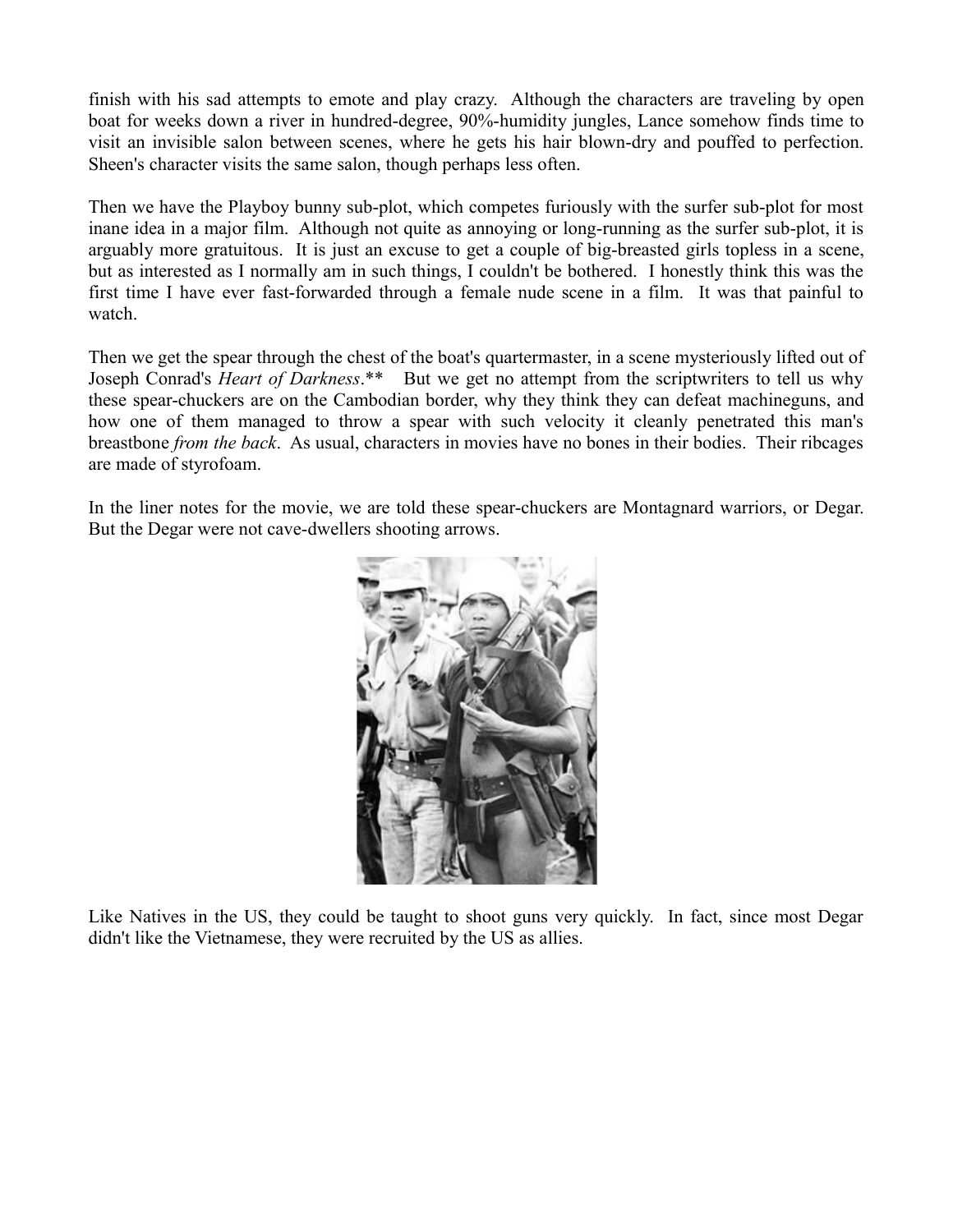finish with his sad attempts to emote and play crazy. Although the characters are traveling by open boat for weeks down a river in hundred-degree, 90%-humidity jungles, Lance somehow finds time to visit an invisible salon between scenes, where he gets his hair blown-dry and pouffed to perfection. Sheen's character visits the same salon, though perhaps less often.

Then we have the Playboy bunny sub-plot, which competes furiously with the surfer sub-plot for most inane idea in a major film. Although not quite as annoying or long-running as the surfer sub-plot, it is arguably more gratuitous. It is just an excuse to get a couple of big-breasted girls topless in a scene, but as interested as I normally am in such things, I couldn't be bothered. I honestly think this was the first time I have ever fast-forwarded through a female nude scene in a film. It was that painful to watch.

Then we get the spear through the chest of the boat's quartermaster, in a scene mysteriously lifted out of Joseph Conrad's *Heart of Darkness*.\*\* But we get no attempt from the scriptwriters to tell us why these spear-chuckers are on the Cambodian border, why they think they can defeat machineguns, and how one of them managed to throw a spear with such velocity it cleanly penetrated this man's breastbone *from the back*. As usual, characters in movies have no bones in their bodies. Their ribcages are made of styrofoam.

In the liner notes for the movie, we are told these spear-chuckers are Montagnard warriors, or Degar. But the Degar were not cave-dwellers shooting arrows.



Like Natives in the US, they could be taught to shoot guns very quickly. In fact, since most Degar didn't like the Vietnamese, they were recruited by the US as allies.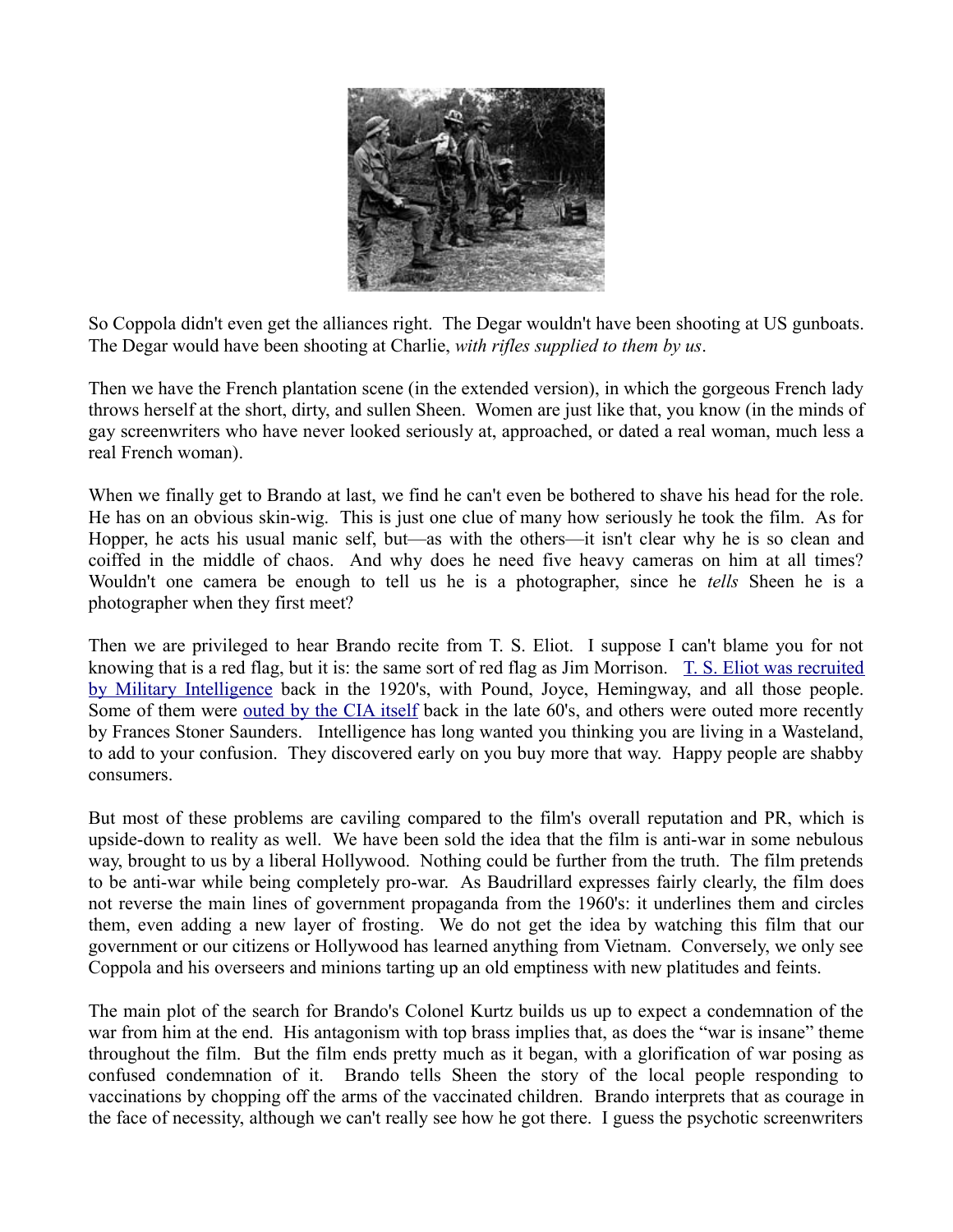

So Coppola didn't even get the alliances right. The Degar wouldn't have been shooting at US gunboats. The Degar would have been shooting at Charlie, *with rifles supplied to them by us*.

Then we have the French plantation scene (in the extended version), in which the gorgeous French lady throws herself at the short, dirty, and sullen Sheen. Women are just like that, you know (in the minds of gay screenwriters who have never looked seriously at, approached, or dated a real woman, much less a real French woman).

When we finally get to Brando at last, we find he can't even be bothered to shave his head for the role. He has on an obvious skin-wig. This is just one clue of many how seriously he took the film. As for Hopper, he acts his usual manic self, but—as with the others—it isn't clear why he is so clean and coiffed in the middle of chaos. And why does he need five heavy cameras on him at all times? Wouldn't one camera be enough to tell us he is a photographer, since he *tells* Sheen he is a photographer when they first meet?

Then we are privileged to hear Brando recite from T. S. Eliot. I suppose I can't blame you for not knowing that is a red flag, but it is: the same sort of red flag as Jim Morrison. [T. S. Eliot was recruited](http://milesmathis.com/papa.pdf) [by Military Intelligence](http://milesmathis.com/papa.pdf) back in the 1920's, with Pound, Joyce, Hemingway, and all those people. Some of them were <u>outed by the CIA itself</u> back in the late 60's, and others were outed more recently by Frances Stoner Saunders. Intelligence has long wanted you thinking you are living in a Wasteland, to add to your confusion. They discovered early on you buy more that way. Happy people are shabby consumers.

But most of these problems are caviling compared to the film's overall reputation and PR, which is upside-down to reality as well. We have been sold the idea that the film is anti-war in some nebulous way, brought to us by a liberal Hollywood. Nothing could be further from the truth. The film pretends to be anti-war while being completely pro-war. As Baudrillard expresses fairly clearly, the film does not reverse the main lines of government propaganda from the 1960's: it underlines them and circles them, even adding a new layer of frosting. We do not get the idea by watching this film that our government or our citizens or Hollywood has learned anything from Vietnam. Conversely, we only see Coppola and his overseers and minions tarting up an old emptiness with new platitudes and feints.

The main plot of the search for Brando's Colonel Kurtz builds us up to expect a condemnation of the war from him at the end. His antagonism with top brass implies that, as does the "war is insane" theme throughout the film. But the film ends pretty much as it began, with a glorification of war posing as confused condemnation of it. Brando tells Sheen the story of the local people responding to vaccinations by chopping off the arms of the vaccinated children. Brando interprets that as courage in the face of necessity, although we can't really see how he got there. I guess the psychotic screenwriters